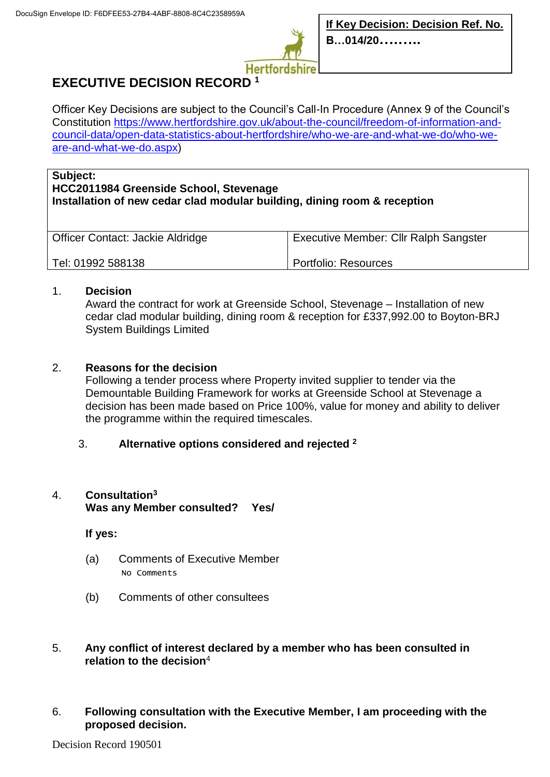

# **EXECUTIVE DECISION RECORD <sup>1</sup>**

Officer Key Decisions are subject to the Council's Call-In Procedure (Annex 9 of the Council's Constitution [https://www.hertfordshire.gov.uk/about-the-council/freedom-of-information-and](https://www.hertfordshire.gov.uk/about-the-council/freedom-of-information-and-council-data/open-data-statistics-about-hertfordshire/who-we-are-and-what-we-do/who-we-are-and-what-we-do.aspx)[council-data/open-data-statistics-about-hertfordshire/who-we-are-and-what-we-do/who-we](https://www.hertfordshire.gov.uk/about-the-council/freedom-of-information-and-council-data/open-data-statistics-about-hertfordshire/who-we-are-and-what-we-do/who-we-are-and-what-we-do.aspx)[are-and-what-we-do.aspx\)](https://www.hertfordshire.gov.uk/about-the-council/freedom-of-information-and-council-data/open-data-statistics-about-hertfordshire/who-we-are-and-what-we-do/who-we-are-and-what-we-do.aspx)

#### **Subject:**

## **HCC2011984 Greenside School, Stevenage Installation of new cedar clad modular building, dining room & reception**

| Officer Contact: Jackie Aldridge | <b>Executive Member: Cllr Ralph Sangster</b> |
|----------------------------------|----------------------------------------------|
| Tel: 01992 588138                | Portfolio: Resources                         |

#### 1. **Decision**

Award the contract for work at Greenside School, Stevenage – Installation of new cedar clad modular building, dining room & reception for £337,992.00 to Boyton-BRJ System Buildings Limited

### 2. **Reasons for the decision**

Following a tender process where Property invited supplier to tender via the Demountable Building Framework for works at Greenside School at Stevenage a decision has been made based on Price 100%, value for money and ability to deliver the programme within the required timescales.

### 3. **Alternative options considered and rejected <sup>2</sup>**

### 4. **Consultation<sup>3</sup>**

**Was any Member consulted? Yes/**

**If yes:**

- (a) Comments of Executive Member No Comments
- (b) Comments of other consultees

#### 5. **Any conflict of interest declared by a member who has been consulted in relation to the decision**<sup>4</sup>

6. **Following consultation with the Executive Member, I am proceeding with the proposed decision.**

Decision Record 190501